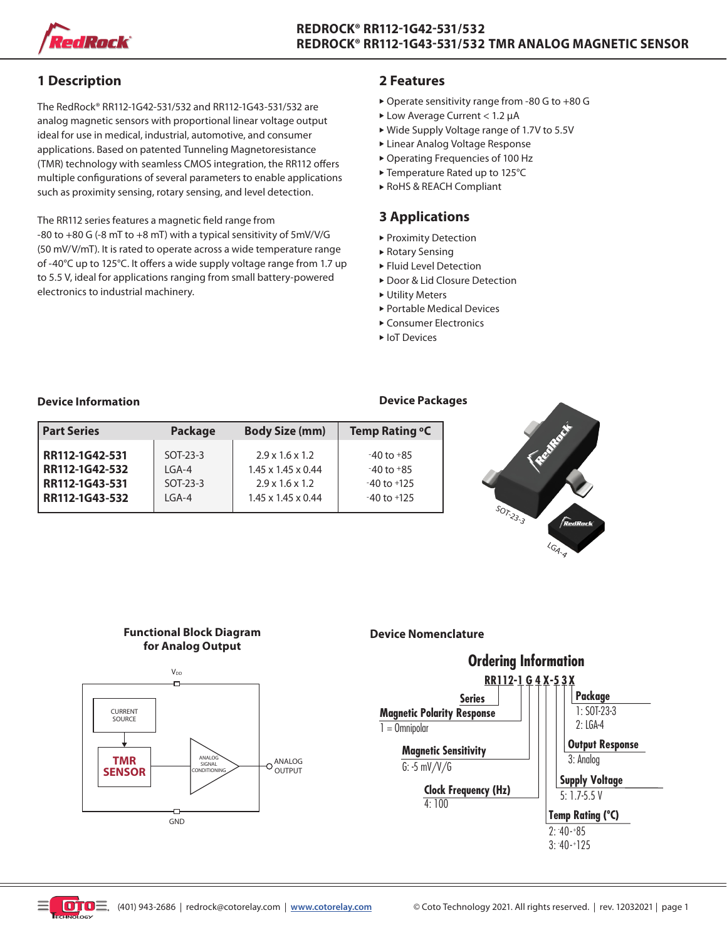

# **1 Description**

The RedRock® RR112-1G42-531/532 and RR112-1G43-531/532 are analog magnetic sensors with proportional linear voltage output ideal for use in medical, industrial, automotive, and consumer applications. Based on patented Tunneling Magnetoresistance (TMR) technology with seamless CMOS integration, the RR112 offers multiple configurations of several parameters to enable applications such as proximity sensing, rotary sensing, and level detection.

The RR112 series features a magnetic field range from -80 to +80 G (-8 mT to +8 mT) with a typical sensitivity of 5mV/V/G (50 mV/V/mT). It is rated to operate across a wide temperature range of -40°C up to 125°C. It offers a wide supply voltage range from 1.7 up to 5.5 V, ideal for applications ranging from small battery-powered electronics to industrial machinery.

# **2 Features**

- $\triangleright$  Operate sensitivity range from -80 G to +80 G
- $\blacktriangleright$  Low Average Current < 1.2 µA
- ▶ Wide Supply Voltage range of 1.7V to 5.5V
- **Exercise 2** Linear Analog Voltage Response
- ▶ Operating Frequencies of 100 Hz
- ▶ Temperature Rated up to 125°C
- ▶ RoHS & REACH Compliant

# **3 Applications**

- **Proximity Detection**
- $\blacktriangleright$  Rotary Sensing
- **Fluid Level Detection**
- ▶ Door & Lid Closure Detection
- $\triangleright$  Utility Meters
- $\blacktriangleright$  Portable Medical Devices
- ► Consumer Electronics
- ► IoT Devices

### **Device Information**

| <b>Part Series</b> | Package    | <b>Body Size (mm)</b>          | Temp Rating °C  |
|--------------------|------------|--------------------------------|-----------------|
| RR112-1G42-531     | $SOT-23-3$ | $2.9 \times 1.6 \times 1.2$    | $-40$ to $+85$  |
| RR112-1G42-532     | $IGA-4$    | $1.45 \times 1.45 \times 0.44$ | $-40$ to $+85$  |
| RR112-1G43-531     | $SOT-23-3$ | $2.9 \times 1.6 \times 1.2$    | $-40$ to $+125$ |
| RR112-1G43-532     | $IGA-4$    | $1.45 \times 1.45 \times 0.44$ | $-40$ to $+125$ |



LGA-4

## **Functional Block Diagram for Analog Output**



## **Device Nomenclature**



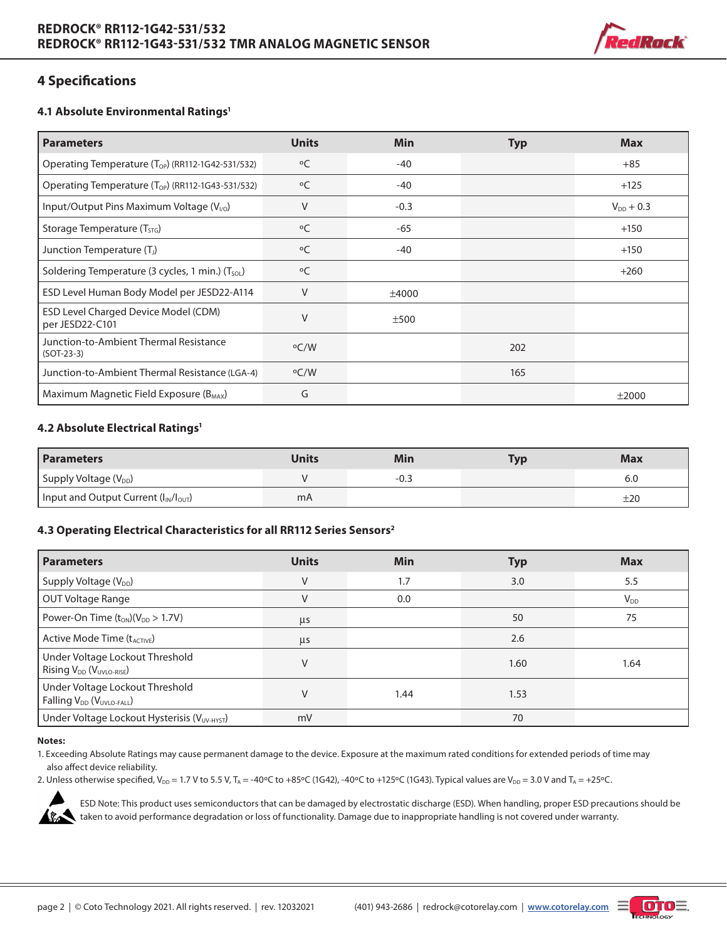

# **4 Specifications**

#### **4.1 Absolute Environmental Ratings1**

| <b>Parameters</b>                                             | <b>Units</b> | Min    | <b>Typ</b> | <b>Max</b>     |
|---------------------------------------------------------------|--------------|--------|------------|----------------|
| Operating Temperature (T <sub>OP</sub> ) (RR112-1G42-531/532) | $^{\circ}$ C | $-40$  |            | $+85$          |
| Operating Temperature (T <sub>OP</sub> ) (RR112-1G43-531/532) | $^{\circ}$ C | $-40$  |            | $+125$         |
| Input/Output Pins Maximum Voltage $(V_{1/0})$                 | $\vee$       | $-0.3$ |            | $V_{DD}$ + 0.3 |
| Storage Temperature (T <sub>STG</sub> )                       | °C           | -65    |            | $+150$         |
| Junction Temperature (T <sub>I</sub> )                        | $^{\circ}$ C | -40    |            | $+150$         |
| Soldering Temperature (3 cycles, 1 min.) (T <sub>sol.</sub> ) | $^{\circ}$ C |        |            | $+260$         |
| ESD Level Human Body Model per JESD22-A114                    | $\vee$       | ±4000  |            |                |
| ESD Level Charged Device Model (CDM)<br>per JESD22-C101       | V            | ±500   |            |                |
| Junction-to-Ambient Thermal Resistance<br>$(SOT-23-3)$        | $\rm ^oC/W$  |        | 202        |                |
| Junction-to-Ambient Thermal Resistance (LGA-4)                | $\rm ^oC/W$  |        | 165        |                |
| Maximum Magnetic Field Exposure $(B_{MAX})$                   | G            |        |            | ±2000          |

#### **4.2 Absolute Electrical Ratings1**

| <b>Parameters</b>                             | Jnits | Min  | <b>Typ</b> | <b>Max</b> |
|-----------------------------------------------|-------|------|------------|------------|
| Supply Voltage (V <sub>DD</sub> )             |       | -0.3 |            | 6.0        |
| I Input and Output Current $(I_{IN}/I_{OUT})$ | mA    |      |            | ±20        |

### **4.3 Operating Electrical Characteristics for all RR112 Series Sensors2**

| <b>Parameters</b>                                                                    | <b>Units</b> | <b>Min</b> | <b>Typ</b> | <b>Max</b> |
|--------------------------------------------------------------------------------------|--------------|------------|------------|------------|
| Supply Voltage (V <sub>DD</sub> )                                                    | V            | 1.7        | 3.0        | 5.5        |
| OUT Voltage Range                                                                    | V            | 0.0        |            | $V_{DD}$   |
| Power-On Time $(t_{ON})(V_{DD} > 1.7V)$                                              | μs           |            | 50         | 75         |
| Active Mode Time (t <sub>ACTIVE</sub> )                                              | $\mu$ s      |            | 2.6        |            |
| Under Voltage Lockout Threshold<br>Rising V <sub>DD</sub> (V <sub>UVLO-RISE</sub> )  | V            |            | 1.60       | 1.64       |
| Under Voltage Lockout Threshold<br>Falling V <sub>DD</sub> (V <sub>UVLO-FALL</sub> ) | V            | 1.44       | 1.53       |            |
| Under Voltage Lockout Hysterisis (VUV-HYST)                                          | mV           |            | 70         |            |

#### **Notes:**

- 1. Exceeding Absolute Ratings may cause permanent damage to the device. Exposure at the maximum rated conditions for extended periods of time may also affect device reliability.
- 2. Unless otherwise specified,  $V_{DD} = 1.7$  V to 5.5 V, T<sub>A</sub> = -40°C to +85°C (1G42), -40°C to +125°C (1G43). Typical values are V<sub>DD</sub> = 3.0 V and T<sub>A</sub> = +25°C.



ESD Note: This product uses semiconductors that can be damaged by electrostatic discharge (ESD). When handling, proper ESD precautions should be taken to avoid performance degradation or loss of functionality. Damage due to inappropriate handling is not covered under warranty.

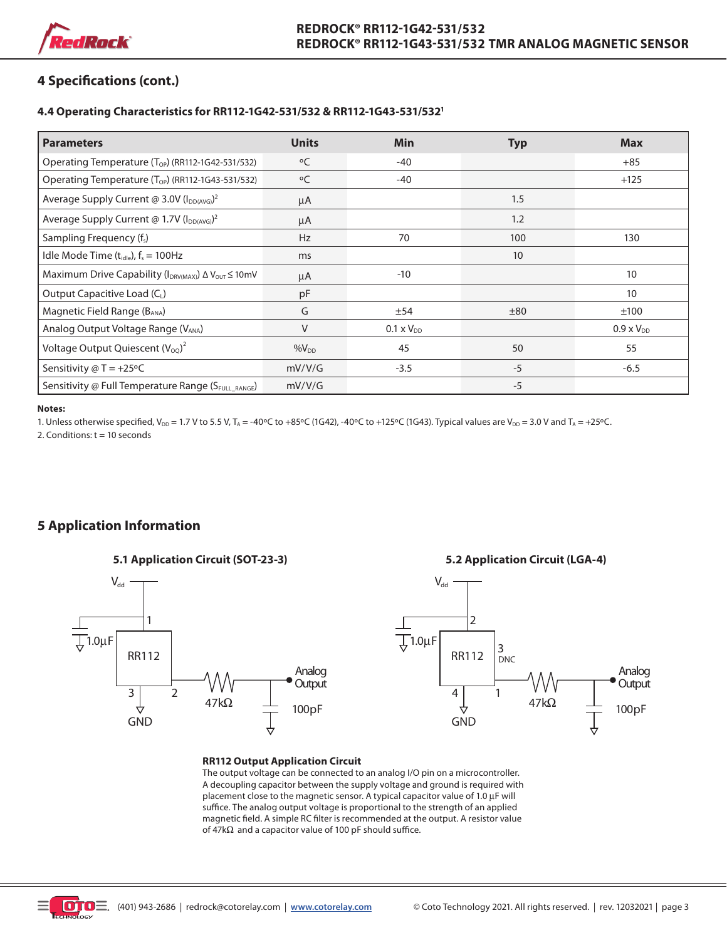

# **4 Specifications (cont.)**

#### **4.4 Operating Characteristics for RR112-1G42-531/532 & RR112-1G43-531/5321**

| <b>Parameters</b>                                                           | <b>Units</b> | <b>Min</b>          | <b>Typ</b> | <b>Max</b>          |
|-----------------------------------------------------------------------------|--------------|---------------------|------------|---------------------|
| Operating Temperature (T <sub>OP</sub> ) (RR112-1G42-531/532)               | $^{\circ}$ C | $-40$               |            | $+85$               |
| Operating Temperature (T <sub>OP</sub> ) (RR112-1G43-531/532)               | $\circ$ C    | $-40$               |            | $+125$              |
| Average Supply Current @ 3.0V (I <sub>DD(AVG)</sub> ) <sup>2</sup>          | μA           |                     | 1.5        |                     |
| Average Supply Current @ 1.7V (I <sub>DD(AVG)</sub> ) <sup>2</sup>          | μA           |                     | 1.2        |                     |
| Sampling Frequency (f <sub>s</sub> )                                        | <b>Hz</b>    | 70                  | 100        | 130                 |
| Idle Mode Time $(t_{idle})$ , $f_s = 100$ Hz                                | ms           |                     | 10         |                     |
| Maximum Drive Capability (I <sub>DRV(MAX)</sub> ) ∆ V <sub>OUT</sub> ≤ 10mV | μA           | $-10$               |            | 10                  |
| Output Capacitive Load (CL)                                                 | pF           |                     |            | 10                  |
| Magnetic Field Range (B <sub>ANA</sub> )                                    | G            | ±54                 | ±80        | ±100                |
| Analog Output Voltage Range (VANA)                                          | V            | $0.1 \times V_{DD}$ |            | $0.9 \times V_{DD}$ |
| Voltage Output Quiescent $(V_{OO})^2$                                       | $%V_{DD}$    | 45                  | 50         | 55                  |
| Sensitivity $@T = +25°C$                                                    | mV/V/G       | $-3.5$              | $-5$       | $-6.5$              |
| Sensitivity @ Full Temperature Range (SFULL RANGE)                          | mV/V/G       |                     | $-5$       |                     |

#### **Notes:**

1. Unless otherwise specified, V<sub>DD</sub> = 1.7 V to 5.5 V, T<sub>A</sub> = -40°C to +85°C (1G42), -40°C to +125°C (1G43). Typical values are V<sub>DD</sub> = 3.0 V and T<sub>A</sub> = +25°C.

2. Conditions:  $t = 10$  seconds

# **5 Application Information**

#### **5.1 Application Circuit (SOT-23-3)**



#### **5.2 Application Circuit (LGA-4)**



#### **RR112 Output Application Circuit**

The output voltage can be connected to an analog I/O pin on a microcontroller. A decoupling capacitor between the supply voltage and ground is required with placement close to the magnetic sensor. A typical capacitor value of 1.0  $\mu$ F will suffice. The analog output voltage is proportional to the strength of an applied magnetic field. A simple RC filter is recommended at the output. A resistor value of  $47k\Omega$  and a capacitor value of 100 pF should suffice.

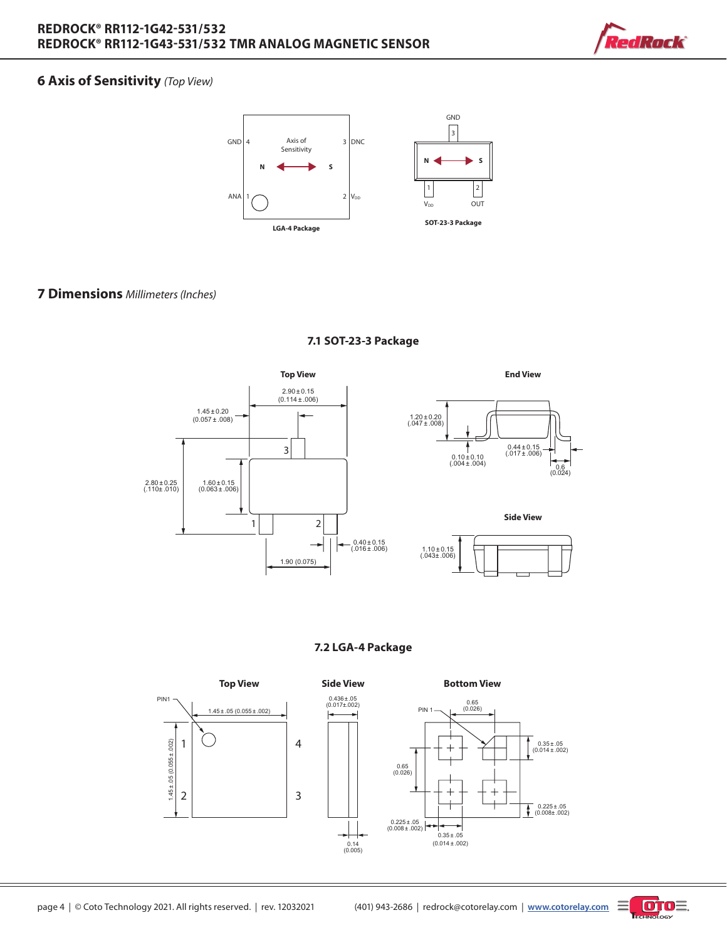

# **6 Axis of Sensitivity** *(Top View)*



## **7 Dimensions** *Millimeters (Inches)*



#### **7.1 SOT-23-3 Package**

**7.2 LGA-4 Package**



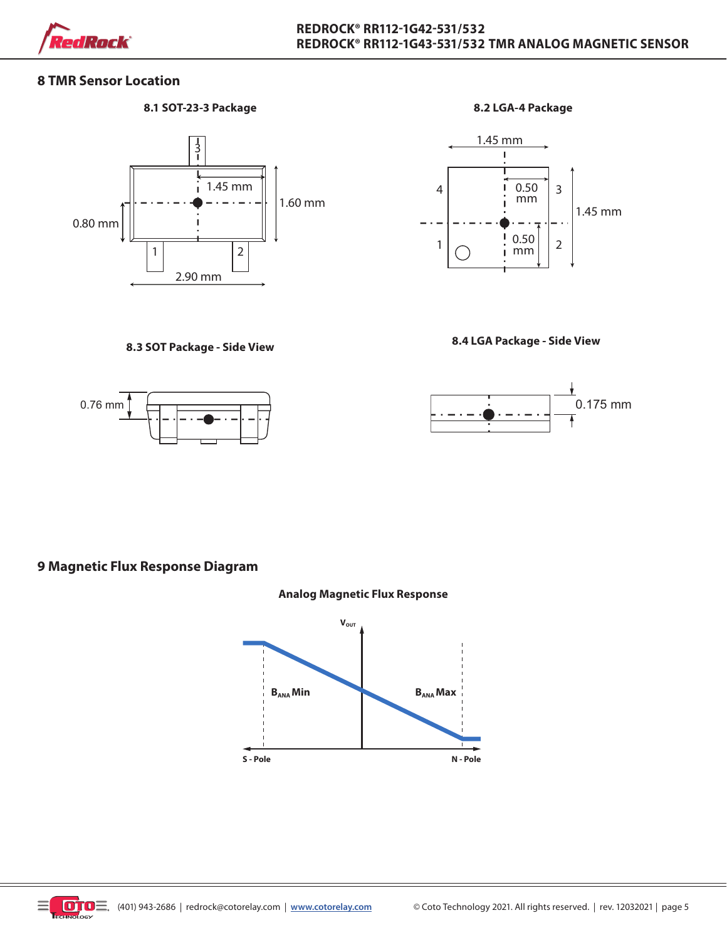

## **8 TMR Sensor Location**

#### **8.1 SOT-23-3 Package 8.2 LGA-4 Package**







**8.4 LGA Package - Side View 8.3 SOT Package - Side View**



## **9 Magnetic Flux Response Diagram**



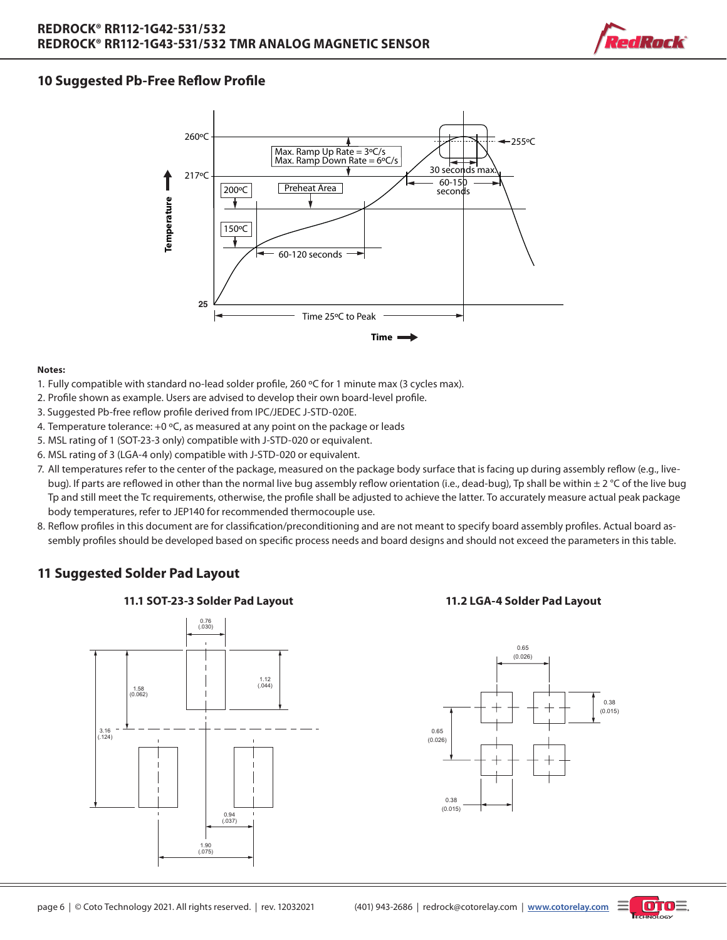

# **10 Suggested Pb-Free Reflow Profile**



#### **Notes:**

- 1. Fully compatible with standard no-lead solder profile, 260 °C for 1 minute max (3 cycles max).
- 2. Profile shown as example. Users are advised to develop their own board-level profile.
- 3. Suggested Pb-free reflow profile derived from IPC/JEDEC J-STD-020E.
- 4. Temperature tolerance:  $+0$  °C, as measured at any point on the package or leads
- 5. MSL rating of 1 (SOT-23-3 only) compatible with J-STD-020 or equivalent.
- 6. MSL rating of 3 (LGA-4 only) compatible with J-STD-020 or equivalent.
- 7. All temperatures refer to the center of the package, measured on the package body surface that is facing up during assembly reflow (e.g., livebug). If parts are reflowed in other than the normal live bug assembly reflow orientation (i.e., dead-bug), Tp shall be within ± 2 °C of the live bug Tp and still meet the Tc requirements, otherwise, the profile shall be adjusted to achieve the latter. To accurately measure actual peak package body temperatures, refer to JEP140 for recommended thermocouple use.
- 8. Reflow profiles in this document are for classification/preconditioning and are not meant to specify board assembly profiles. Actual board assembly profiles should be developed based on specific process needs and board designs and should not exceed the parameters in this table.

## **11 Suggested Solder Pad Layout**







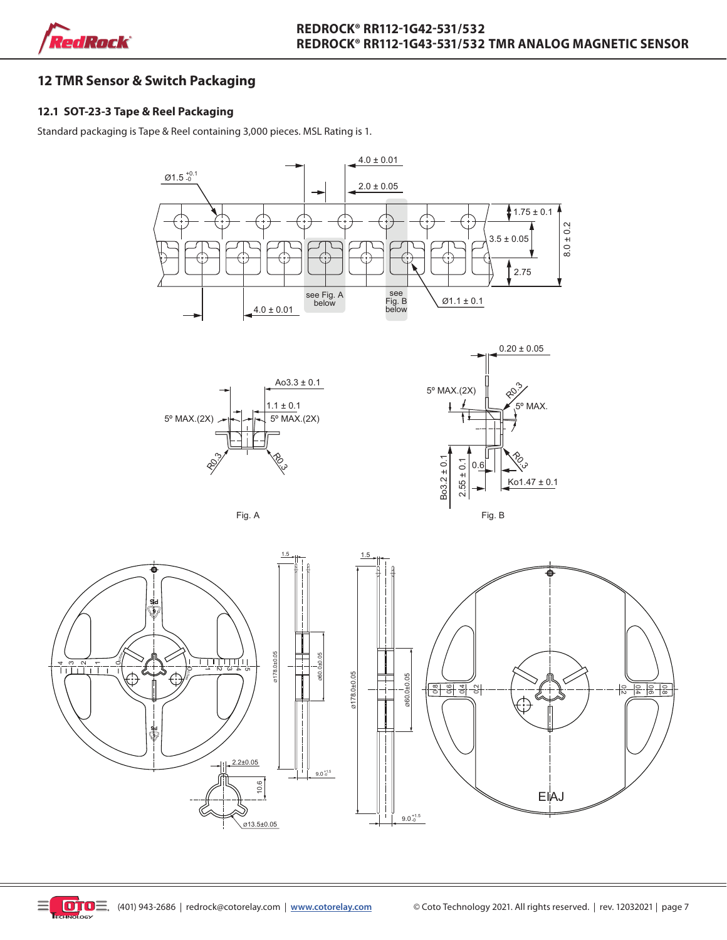

# **12 TMR Sensor & Switch Packaging**

## **12.1 SOT-23-3 Tape & Reel Packaging**

Standard packaging is Tape & Reel containing 3,000 pieces. MSL Rating is 1.









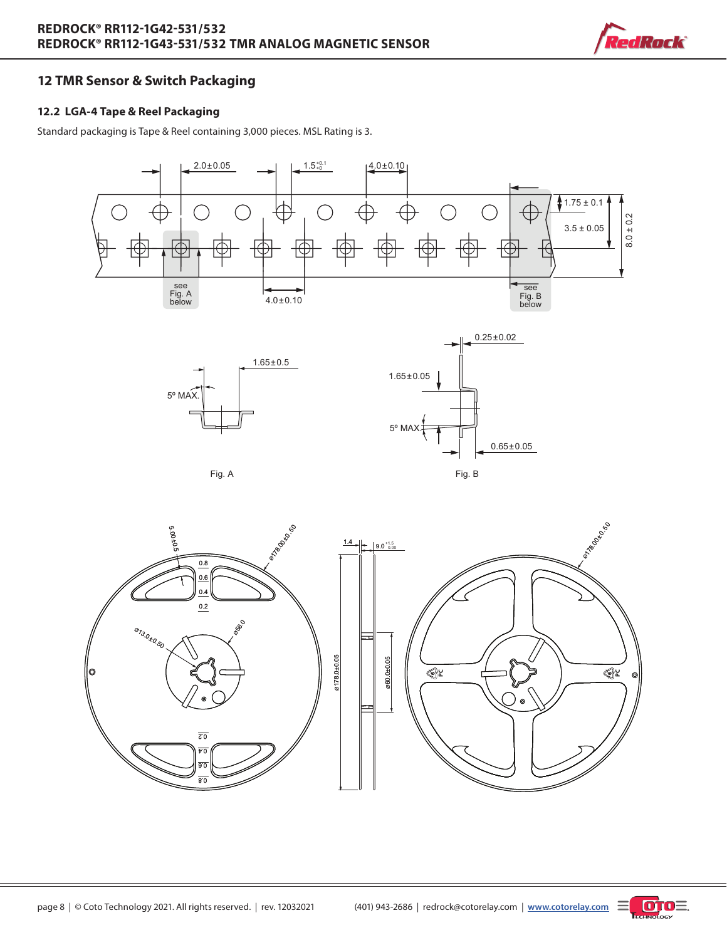

# **12 TMR Sensor & Switch Packaging**

## **12.2 LGA-4 Tape & Reel Packaging**

Standard packaging is Tape & Reel containing 3,000 pieces. MSL Rating is 3.







Fig. A Fig. B